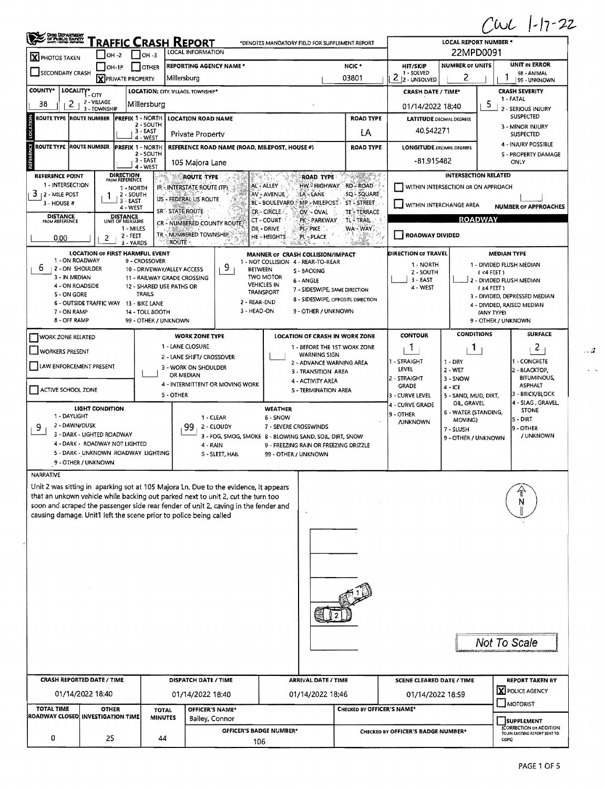$CwL 1-17-22$ 

 $\mathcal{A}$ 

 $\hat{\zeta}$  .

| OHOO DEPARTMENT                         |                                                                                                                                                                                 | - 1<br><b>LOCAL REPORT NUMBER *</b>     |                                                                                                      |                                                     |                                 |                                          |                                       |                                                                                |                                      |                                                         |  |  |  |  |  |
|-----------------------------------------|---------------------------------------------------------------------------------------------------------------------------------------------------------------------------------|-----------------------------------------|------------------------------------------------------------------------------------------------------|-----------------------------------------------------|---------------------------------|------------------------------------------|---------------------------------------|--------------------------------------------------------------------------------|--------------------------------------|---------------------------------------------------------|--|--|--|--|--|
| X PHOTOS TAKEN                          | RAFFIC CRASH REPORT<br>*DENOTES MANDATORY FIELD FOR SUPPLEMENT REPORT<br>LOCAL INFORMATION<br>$\Box$ OH -3<br>- I OH -2                                                         |                                         |                                                                                                      |                                                     |                                 |                                          |                                       |                                                                                |                                      | 22MPD0091                                               |  |  |  |  |  |
|                                         | $ $ OH-1P                                                                                                                                                                       | <b>I OTHER</b>                          | <b>REPORTING AGENCY NAME *</b>                                                                       |                                                     |                                 |                                          | NCIC <sup>+</sup>                     | HIT/SKIP                                                                       | <b>NUMBER OF UNITS</b>               | <b>UNIT IN ERROR</b>                                    |  |  |  |  |  |
| SECONDARY CRASH                         | <b>X</b> PRIVATE PROPERTY                                                                                                                                                       |                                         | Millersburg                                                                                          |                                                     |                                 |                                          | 03801                                 | 1 - SOLVED<br>2<br>2 - UNSOLVED                                                | 2                                    | 98 - ANIMAL<br>99 - UNKNOWN                             |  |  |  |  |  |
| <b>COUNTY*</b>                          | LOCALITY* CITY                                                                                                                                                                  |                                         | LOCATION: CITY. VILLAGE. TOWNSHIP*                                                                   |                                                     |                                 |                                          |                                       | <b>CRASH SEVERITY</b><br><b>CRASH DATE / TIME*</b>                             |                                      |                                                         |  |  |  |  |  |
| 2<br>38                                 | 2 - VILLAGE<br>3 - TOWNSHIP                                                                                                                                                     | Millersburg                             |                                                                                                      |                                                     |                                 |                                          |                                       | 1 - FATAL<br>5<br>01/14/2022 18:40<br>2 - SERIOUS INJURY                       |                                      |                                                         |  |  |  |  |  |
| ROUTE TYPE (ROUTE NUMBER                |                                                                                                                                                                                 | PREFIX 1 - NORTH<br>2 - SOUTH           | <b>LOCATION ROAD NAME</b>                                                                            |                                                     |                                 |                                          | <b>ROAD TYPE</b>                      | <b>LATITUDE DECIMAL DEGREES</b>                                                | SUSPECTED                            |                                                         |  |  |  |  |  |
| LOCATION                                |                                                                                                                                                                                 | $3 - EAST$<br>4 - WEST                  | Private Property                                                                                     |                                                     |                                 |                                          | ĹÄ                                    | 40.542271                                                                      | 3 - MINOR INJURY<br><b>SUSPECTED</b> |                                                         |  |  |  |  |  |
| ROUTE TYPE ROUTE NUMBER                 |                                                                                                                                                                                 | PREFIX 1 - NORTH<br>2 - SOUTH           |                                                                                                      | REFERENCE ROAD NAME (ROAD, MILEPOST, HOUSE #)       |                                 |                                          | <b>ROAD TYPE</b>                      | 4 - INJURY POSSIBLE<br><b>LONGITUDE DECIMAL DEGREES</b><br>S - PROPERTY DAMAGE |                                      |                                                         |  |  |  |  |  |
| <b>REFERENCE</b>                        |                                                                                                                                                                                 | $3 - EAST$<br>$4 - WEST$                | 105 Majora Lane                                                                                      |                                                     |                                 |                                          |                                       | -81.915482<br>ONLY                                                             |                                      |                                                         |  |  |  |  |  |
| <b>REFERENCE POINT</b>                  | <b>DIRECTION</b><br>FROM REFERENCE                                                                                                                                              | $\sim 100$                              | <b>ROUTE TYPE</b>                                                                                    |                                                     |                                 | ROAD TYPE                                | tr <i>i 20</i> 21 (20) A              |                                                                                | <b>INTERSECTION RELATED</b>          |                                                         |  |  |  |  |  |
| 1 - INTERSECTION<br>з<br>12 - MILE POST | 1 - NORTH<br>2 - SOUTH                                                                                                                                                          |                                         | IR-INTERSTATE ROUTE (TP)                                                                             |                                                     | AL - ALLEY<br>AV - AVENUE       | HW.¤HIGHWAY<br>LA - LANE                 | RD-ROAD<br>SQ - SQUARE                | WITHIN INTERSECTION OR ON APPROACH                                             |                                      |                                                         |  |  |  |  |  |
| $3 - HOUSE #$                           | 3 - EAST<br>4 - WEST                                                                                                                                                            |                                         | US - FEDERAL US ROUTE<br>SR-STATE ROUTE                                                              |                                                     | CR - CIRCLE.                    | BL - BOULEVARD : MP - MILEPOST -         | ST-STREET                             | WITHIN INTERCHANGE AREA                                                        |                                      | <b>NUMBER OF APPROACHES</b>                             |  |  |  |  |  |
| <b>DISTANCE</b><br>FROM REFERENCE       | DISTANCE<br>UNIT OF MEASURE                                                                                                                                                     |                                         |                                                                                                      |                                                     | CT - COURT                      | OV - OVAL<br>PK - PARKWAY                | TE TERRACE<br>TL-TRAIL                |                                                                                | <b>ROADWAY</b>                       |                                                         |  |  |  |  |  |
| 0.00                                    | CR - NUMBERED COUNTY ROUTE<br>DR - DRIVE<br>WA-WAY.<br>1 - MILES<br>pis pike<br>TR - NUMBERED TOWNSHIP.<br>ROADWAY DIVIDED<br>2 - FEET<br><b>HE-HEIGHTS</b><br>pl'-, place<br>2 |                                         |                                                                                                      |                                                     |                                 |                                          |                                       |                                                                                |                                      |                                                         |  |  |  |  |  |
|                                         | 3 - YARDS<br><b>LOCATION OF FIRST HARMFUL EVENT</b>                                                                                                                             |                                         | ROUTE                                                                                                |                                                     |                                 | MANNER OF CRASH COLLISION/IMPACT         |                                       | DIRECTION OF TRAVEL                                                            |                                      | <b>MEDIAN TYPE</b>                                      |  |  |  |  |  |
| 1 - ON ROADWAY<br>6<br>2 - ON SHOULDER  |                                                                                                                                                                                 | 9 - CROSSOVER                           |                                                                                                      | 9                                                   |                                 | 1 - NOT COLLISION 4 - REAR-TO-REAR       |                                       | 1 - NORTH                                                                      |                                      | 1 - DIVIDED FLUSH MEDIAN                                |  |  |  |  |  |
| 3 - IN MEDIAN                           |                                                                                                                                                                                 | 10 - DRIVEWAY/ALLEY ACCESS              | 11 - RAILWAY GRADE CROSSING                                                                          | BETWEEN                                             | <b>TWO MOTOR</b>                | S - BACKING<br>6 - ANGLE                 |                                       | 2 - SOUTH<br>$3 - EAST$                                                        |                                      | (4 FEE)<br>2 - DIVIDED FLUSH MEDIAN                     |  |  |  |  |  |
| 4 - ON ROADSIDE<br>S - ON GORE          |                                                                                                                                                                                 | 12 - SHARED USE PATHS OR<br>TRAILS      |                                                                                                      |                                                     | <b>VEHICLES IN</b><br>TRANSPORT | 7 - SIDESWIPE, SAME DIRECTION            |                                       | 4 - WEST                                                                       |                                      | f ≥4 FEET)<br>3 - DIVIDED, DEPRESSED MEDIAN             |  |  |  |  |  |
|                                         | 6 - OUTSIDE TRAFFIC WAY                                                                                                                                                         | 13 - BIKE LANE                          |                                                                                                      | 2 - REAR-END<br>3 - HEAD-ON                         |                                 | 9 - OTHER / UNKNOWN                      | 8 - SIDESWIPE, OPPOSITE DIRECTION     |                                                                                |                                      | 4 - DIVIDED, RAISED MEDIAN                              |  |  |  |  |  |
| 7 - ON RAMP<br>8 - OFF RAMP             |                                                                                                                                                                                 | 14 - TOLL BOOTH<br>99 - OTHER / UNKNOWN |                                                                                                      |                                                     |                                 |                                          |                                       |                                                                                |                                      | (ANY TYPE)<br>9 - OTHER / UNKNOWN                       |  |  |  |  |  |
| WORK ZONE RELATED                       |                                                                                                                                                                                 |                                         | <b>WORK ZONE TYPE</b>                                                                                |                                                     |                                 |                                          | <b>LOCATION OF CRASH IN WORK ZONE</b> | <b>CONTOUR</b>                                                                 | <b>CONDITIONS</b>                    | <b>SURFACE</b>                                          |  |  |  |  |  |
| <b>WORKERS PRESENT</b>                  |                                                                                                                                                                                 |                                         | 1 - LANE CLOSURE                                                                                     | 1 - BEFORE THE 1ST WORK ZONE<br><b>WARNING SIGN</b> |                                 |                                          |                                       | 1                                                                              | $\mathbf{1}$                         | $\overline{c}$                                          |  |  |  |  |  |
| LAW ENFORCEMENT PRESENT                 |                                                                                                                                                                                 |                                         | 2 - LANE SHIFT/ CROSSOVER<br>2 - ADVANCE WARNING AREA<br>3 - WORK ON SHOULDER                        |                                                     |                                 |                                          |                                       | 1 - STRAIGHT<br>LEVEL                                                          | $1 - DRY$                            | I - CONCRETE                                            |  |  |  |  |  |
|                                         |                                                                                                                                                                                 |                                         | OR MEDIAN                                                                                            |                                                     |                                 | 3 - TRANSITION AREA<br>4 - ACTIVITY AREA |                                       | 2 - STRAIGHT                                                                   | $2 - WET$<br>3 - SNOW                | 2 - BLACKTOP,<br><b>BITUMINOUS</b>                      |  |  |  |  |  |
| ACTIVE SCHOOL ZONE                      |                                                                                                                                                                                 |                                         | 5 - OTHER                                                                                            | 4 - INTERMITTENT OR MOVING WORK                     |                                 | 5 - TERMINATION AREA                     |                                       | <b>GRADE</b><br>3 - CURVE LEVEL                                                | $4 - ICE$<br>5 - SAND, MUD, DIRT,    | <b>ASPHALT</b><br>3 - BRICK/BLOCK                       |  |  |  |  |  |
|                                         | LIGHT CONDITION                                                                                                                                                                 |                                         |                                                                                                      | <b>WEATHER</b>                                      |                                 |                                          |                                       |                                                                                | OIL, GRAVEL                          | 4 - SLAG, GRAVEL,<br>STONE                              |  |  |  |  |  |
| 1 - DAYLIGHT<br>2 - DAWN/DUSK           |                                                                                                                                                                                 |                                         |                                                                                                      | 1 - CLEAR<br>6 - SNOW                               |                                 |                                          |                                       |                                                                                | 6 - WATER (STANDING,<br>MOVING)      | ls - DIRT                                               |  |  |  |  |  |
| 9                                       | 3 - DARK - LIGHTED ROADWAY                                                                                                                                                      |                                         | 99<br>2 - CLOUDY<br>7 - SEVERE CROSSWINDS<br>3 - FOG, SMOG, SMOKE 8 - BLOWING SAND, SOIL, DIRT, SNOW |                                                     |                                 |                                          |                                       |                                                                                | 7 - SLUSH<br>9 - OTHER / UNKNOWN     | 19 - OTHER<br>/ UNKNOWN                                 |  |  |  |  |  |
|                                         | 4 - DARK - ROADWAY NOT LIGHTED<br>5 - DARK - UNKNOWN ROADWAY LIGHTING                                                                                                           |                                         | 4 - RAIN                                                                                             |                                                     |                                 | 9 - FREEZING RAIN OR FREEZING DRIZZLE    |                                       |                                                                                |                                      |                                                         |  |  |  |  |  |
|                                         | 9 - OTHER / UNKNOWN                                                                                                                                                             |                                         |                                                                                                      | 5 - SLEET, HAIL                                     | 99 - OTHER / UNKNOWN            |                                          |                                       |                                                                                |                                      |                                                         |  |  |  |  |  |
| NARRATIVE                               |                                                                                                                                                                                 |                                         |                                                                                                      |                                                     |                                 |                                          |                                       |                                                                                |                                      |                                                         |  |  |  |  |  |
|                                         | Unit 2 was sitting in aparking sot at 105 Majora Ln. Due to the evidence, it appears                                                                                            |                                         |                                                                                                      |                                                     |                                 |                                          |                                       |                                                                                |                                      |                                                         |  |  |  |  |  |
|                                         | that an unkown vehicle while backing out parked next to unit 2, cut the turn too<br>soon and scraped the passenger side rear fender of unit 2, caving in the fender and         |                                         |                                                                                                      |                                                     |                                 |                                          |                                       |                                                                                |                                      |                                                         |  |  |  |  |  |
|                                         | causing damage. Unit1 left the scene prior to police being called                                                                                                               |                                         |                                                                                                      |                                                     |                                 |                                          |                                       |                                                                                |                                      |                                                         |  |  |  |  |  |
|                                         |                                                                                                                                                                                 |                                         |                                                                                                      |                                                     |                                 |                                          |                                       |                                                                                |                                      |                                                         |  |  |  |  |  |
|                                         |                                                                                                                                                                                 |                                         |                                                                                                      |                                                     |                                 |                                          |                                       |                                                                                |                                      |                                                         |  |  |  |  |  |
|                                         |                                                                                                                                                                                 |                                         |                                                                                                      |                                                     |                                 |                                          |                                       |                                                                                |                                      |                                                         |  |  |  |  |  |
|                                         |                                                                                                                                                                                 |                                         |                                                                                                      |                                                     |                                 |                                          |                                       |                                                                                |                                      |                                                         |  |  |  |  |  |
|                                         |                                                                                                                                                                                 |                                         |                                                                                                      |                                                     |                                 |                                          |                                       |                                                                                |                                      |                                                         |  |  |  |  |  |
|                                         |                                                                                                                                                                                 |                                         |                                                                                                      |                                                     |                                 |                                          |                                       |                                                                                |                                      |                                                         |  |  |  |  |  |
|                                         |                                                                                                                                                                                 |                                         |                                                                                                      |                                                     |                                 |                                          |                                       |                                                                                |                                      |                                                         |  |  |  |  |  |
|                                         |                                                                                                                                                                                 |                                         |                                                                                                      |                                                     |                                 |                                          |                                       |                                                                                |                                      |                                                         |  |  |  |  |  |
|                                         |                                                                                                                                                                                 |                                         |                                                                                                      |                                                     |                                 |                                          | Not To Scale                          |                                                                                |                                      |                                                         |  |  |  |  |  |
|                                         |                                                                                                                                                                                 |                                         |                                                                                                      |                                                     |                                 |                                          |                                       |                                                                                |                                      |                                                         |  |  |  |  |  |
|                                         | <b>CRASH REPORTED DATE / TIME</b>                                                                                                                                               |                                         | DISPATCH DATE / TIME                                                                                 |                                                     |                                 | <b>ARRIVAL DATE / TIME</b>               |                                       | <b>SCENE CLEARED DATE / TIME</b>                                               |                                      | <b>REPORT TAKEN BY</b>                                  |  |  |  |  |  |
|                                         | 01/14/2022 18:40                                                                                                                                                                |                                         | 01/14/2022 18:40                                                                                     |                                                     |                                 | 01/14/2022 18:46                         |                                       | 01/14/2022 18:59                                                               |                                      | X POLICE AGENCY                                         |  |  |  |  |  |
| <b>TOTAL TIME</b>                       | <b>OTHER</b>                                                                                                                                                                    | <b>TOTAL</b>                            | OFFICER'S NAME*                                                                                      |                                                     |                                 |                                          | CHECKED BY OFFICER'S NAME*            |                                                                                |                                      | MOTORIST                                                |  |  |  |  |  |
|                                         | ROADWAY CLOSED INVESTIGATION TIME                                                                                                                                               | <b>MINUTES</b>                          | Bailey, Connor                                                                                       |                                                     |                                 |                                          |                                       |                                                                                |                                      | SUPPLEMENT                                              |  |  |  |  |  |
| 0                                       | 25                                                                                                                                                                              | 44                                      |                                                                                                      | OFFICER'S BADGE NUMBER*                             |                                 |                                          |                                       | CHECKED BY OFFICER'S BADGE NUMBER*                                             |                                      | CORRECTION OR ADDITION<br>TO AN EXISTING REPORT SENT TO |  |  |  |  |  |
|                                         |                                                                                                                                                                                 |                                         |                                                                                                      | 106                                                 |                                 |                                          | ODPS)                                 |                                                                                |                                      |                                                         |  |  |  |  |  |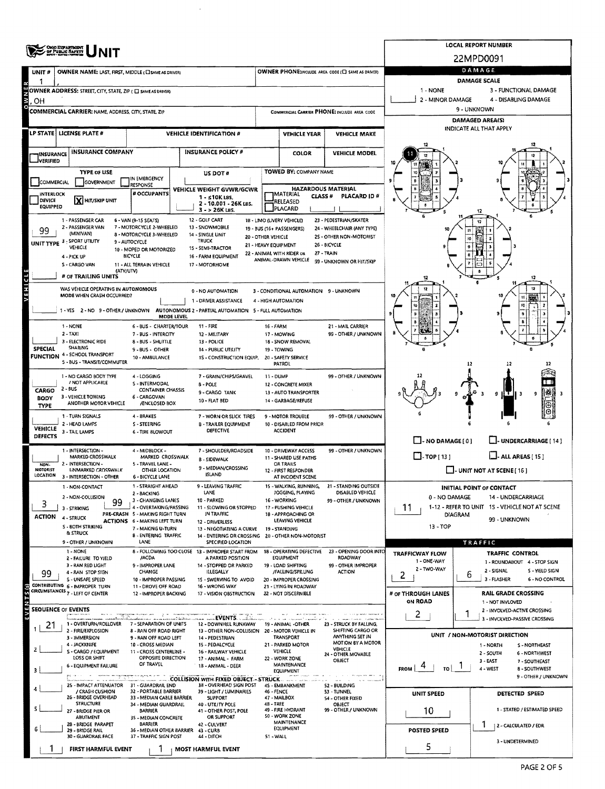|                            | <b>ONO DEPARTMENT</b><br>OF PUBLIC SAFETY                                                |                                                                                                                                 | <b>LOCAL REPORT NUMBER</b>                                                                |                                                                                                 |                                                              |                                                                         |                                                                 |                                                         |                                                                      |  |  |  |  |
|----------------------------|------------------------------------------------------------------------------------------|---------------------------------------------------------------------------------------------------------------------------------|-------------------------------------------------------------------------------------------|-------------------------------------------------------------------------------------------------|--------------------------------------------------------------|-------------------------------------------------------------------------|-----------------------------------------------------------------|---------------------------------------------------------|----------------------------------------------------------------------|--|--|--|--|
|                            |                                                                                          |                                                                                                                                 |                                                                                           | 22MPD0091                                                                                       |                                                              |                                                                         |                                                                 |                                                         |                                                                      |  |  |  |  |
| UNIT #                     | <b>OWNER NAME: LAST, FIRST, MIDDLE (CI SAME AS DRIVER)</b>                               |                                                                                                                                 | OWNER PHONE:INCLUDE AREA CODE (E) SAME AS DRIVER)                                         | DAMAGE.<br>DAMAGE SCALE                                                                         |                                                              |                                                                         |                                                                 |                                                         |                                                                      |  |  |  |  |
|                            | OWNER ADDRESS: STREET, CITY, STATE, ZIP ( E SAME AS DRIVER)                              |                                                                                                                                 |                                                                                           |                                                                                                 |                                                              |                                                                         |                                                                 | 1 - NONE                                                | 3 - FUNCTIONAL DAMAGE                                                |  |  |  |  |
| OН                         |                                                                                          |                                                                                                                                 |                                                                                           |                                                                                                 |                                                              |                                                                         |                                                                 | 2 - MINOR DAMAGE<br>4 - DISABLING DAMAGE<br>9 - UNKNOWN |                                                                      |  |  |  |  |
|                            | <b>COMMERCIAL CARRIER: NAME, ADDRESS, CITY, STATE, ZIP</b>                               |                                                                                                                                 |                                                                                           |                                                                                                 |                                                              |                                                                         | COMMERCIAL CARRIER PHONE: INCLUDE AREA CODE                     | DAMAGED AREA(S)                                         |                                                                      |  |  |  |  |
|                            | LP STATE  LICENSE PLATE #                                                                |                                                                                                                                 |                                                                                           | <b>VEHICLE IDENTIFICATION #</b>                                                                 |                                                              | <b>VEHICLE YEAR</b>                                                     | <b>VEHICLE MAKE</b>                                             | INDICATE ALL THAT APPLY                                 |                                                                      |  |  |  |  |
| <b>INSURANCE</b>           | <b>INSURANCE COMPANY</b>                                                                 | <b>INSURANCE POLICY #</b>                                                                                                       |                                                                                           |                                                                                                 | <b>COLOR</b><br><b>VEHICLE MODEL</b>                         |                                                                         |                                                                 |                                                         |                                                                      |  |  |  |  |
| <b>JVERIFIED</b>           |                                                                                          |                                                                                                                                 |                                                                                           |                                                                                                 |                                                              |                                                                         |                                                                 |                                                         |                                                                      |  |  |  |  |
| COMMERCIAL                 | <b>TYPE OF USE</b><br>GOVERNMENT                                                         | IN EMERGENCY                                                                                                                    |                                                                                           | <b>US DOT #</b>                                                                                 |                                                              | TOWED BY: COMPANY NAME                                                  |                                                                 | ۰                                                       |                                                                      |  |  |  |  |
| <b>INTERLOCK</b>           |                                                                                          | RESPONSE<br># OCCUPANTS                                                                                                         |                                                                                           | VEHICLE WEIGHT GVWR/GCWR                                                                        |                                                              | <b>HAZARDOUS MATERIAL</b><br>IMATERIAL<br><b>CLASS#</b>                 | PLACARD ID#                                                     |                                                         |                                                                      |  |  |  |  |
| DEVICE<br>EQUIPPED         | X HIT/SKIP UNIT                                                                          |                                                                                                                                 |                                                                                           | 1 - ≤10K LBS.<br>2 - 10.001 - 26K LBS.<br>3 - > 26K LBS.                                        |                                                              | RELEASED<br>PLACARD                                                     |                                                                 |                                                         |                                                                      |  |  |  |  |
|                            | 1 - PASSENGER CAR                                                                        | 6 - VAN (9-15 SEATS)                                                                                                            |                                                                                           | 12 - GOLF CART                                                                                  |                                                              | 18 - LIMO (LIVERY VEHICLE)                                              | 23 - PEDESTRIAN/SKATER                                          |                                                         |                                                                      |  |  |  |  |
| 99                         | 2 - PASSENGER VAN<br>(MINIVAN)                                                           | 7 - MOTORCYCLE 2-WHEELED<br>8 - MOTORCYCLE 3-WHEELED                                                                            |                                                                                           | 13 - SNOWMOBILE<br>14 - SINGLE UNIT<br>TRUCK                                                    | 20 - OTHER VEHICLE                                           | 19 - BUS (16 + PASSENGERS)                                              | 24 - WHEELCHAIR (ANY TYPE)<br>2S - OTHER NON-MOTORIST           |                                                         |                                                                      |  |  |  |  |
|                            | UNIT TYPE 3 - SPORT UTILITY<br><b>VEHICLE</b>                                            | 9 - AUTOCYCLE<br>10 - MOPED OR MOTORIZED                                                                                        |                                                                                           | 15 - SEMI-TRACTOR                                                                               | 21 - HEAVY EQUIPMENT                                         | 22 - ANIMAL WITH RIDER OR                                               | 26 - BICYCLE<br>27 - TRAIN                                      |                                                         |                                                                      |  |  |  |  |
|                            | 4 - PICK UP<br>S - CARGO VAN                                                             | <b>BICYCLE</b><br>11 - ALL TERRAIN VEHICLE                                                                                      |                                                                                           | 16 - FARM EQUIPMENT<br>17 - MOTORHOME                                                           |                                                              | ANIMAL-DRAWN VEHICLE                                                    | 99 - UNKNOWN OR HIT/SKIP                                        |                                                         |                                                                      |  |  |  |  |
|                            | (ATV/UTV)<br># OF TRAILING UNITS                                                         |                                                                                                                                 |                                                                                           |                                                                                                 |                                                              |                                                                         |                                                                 |                                                         | 12                                                                   |  |  |  |  |
|                            | WAS VEHICLE OPERATING IN AUTONOMOUS<br>MODE WHEN CRASH OCCURRED?                         |                                                                                                                                 |                                                                                           | 0 - NO AUTOMATION                                                                               |                                                              | 3 - CONDITIONAL AUTOMATION 9 - UNKNOWN                                  |                                                                 |                                                         | 12                                                                   |  |  |  |  |
|                            | 1 - YES 2 - NO 9 - OTHER / UNKNOWN AUTONOMOUS 2 - PARTIAL AUTOMATION 5 - FULL AUTOMATION |                                                                                                                                 |                                                                                           | 1 - DRIVER ASSISTANCE                                                                           |                                                              | 4 - HIGH AUTOMATION                                                     |                                                                 |                                                         |                                                                      |  |  |  |  |
|                            |                                                                                          | 6 - BUS - CHARTER/TOUR                                                                                                          | MODE LEVEL                                                                                |                                                                                                 |                                                              |                                                                         |                                                                 |                                                         |                                                                      |  |  |  |  |
|                            | 1 - NONE<br>$2 - TAX1$                                                                   | 7 - BUS - INTERCITY                                                                                                             | $11 - FIRE$<br>12 - MILITARY                                                              | 16 - FARM                                                                                       | 17 - MOWING                                                  | 21 - MAIL CARRIER<br>99 - OTHER / UNKNOWN                               |                                                                 |                                                         |                                                                      |  |  |  |  |
| <b>SPECIAL</b>             | 3 - ELECTRONIC RIDE<br><b>SHARING</b>                                                    | 8 - BUS - SHUTTLE<br>9 - BUS - OTHER                                                                                            | 13 - POLICE<br><b>14 - PUBLIC UTILITY</b>                                                 |                                                                                                 |                                                              | 18 - SNOW REMOVAL<br>19 - TOWING                                        |                                                                 |                                                         |                                                                      |  |  |  |  |
|                            | <b>FUNCTION 4 - SCHOOL TRANSPORT</b><br>5 - BUS - TRANSIT/COMMUTER                       | 10 - AMBULANCE                                                                                                                  |                                                                                           | 15 - CONSTRUCTION EQUIP.                                                                        |                                                              | 20 - SAFETY SERVICE<br><b>PATROL</b>                                    |                                                                 |                                                         | 12                                                                   |  |  |  |  |
|                            | 1 - NO CARGO BODY TYPE                                                                   | 4 - LOGGING                                                                                                                     |                                                                                           | 7 - GRAIN/CHIPS/GRAVEL                                                                          | 11 - DUMP                                                    |                                                                         | 99 - OTHER / UNKNOWN                                            |                                                         |                                                                      |  |  |  |  |
| <b>CARGO</b>               | / NOT APPUCABLE<br>$2 - BUS$                                                             | S - INTERMODAL<br><b>CONTAINER CHASSIS</b>                                                                                      |                                                                                           | 8 - POLE<br>9 - CARGO TANK                                                                      |                                                              | 12 - CONCRETE MIXER<br>13 - AUTO TRANSPORTER                            |                                                                 |                                                         | 9<br>9                                                               |  |  |  |  |
| <b>BODY</b><br><b>TYPE</b> | 3 - VEHICLE TOWING<br>ANOTHER MOTOR VEHICLE                                              | 6 - CARGOVAN<br>/ENCLOSED BOX                                                                                                   |                                                                                           | <b>10 - FLAT BED</b>                                                                            |                                                              | 14 - GARBAGE/REFUSE                                                     |                                                                 |                                                         |                                                                      |  |  |  |  |
|                            | 1 - TURN SIGNALS<br>2 - HEAD LAMPS                                                       | 4 - BRAKES                                                                                                                      |                                                                                           | 7 - WORN OR SLICK TIRES                                                                         |                                                              | 9 - MOTOR TROUBLE                                                       | 99 - OTHER / UNKNOWN                                            |                                                         |                                                                      |  |  |  |  |
| VEHICLE<br><b>DEFECTS</b>  | 3 - TAIL LAMPS                                                                           |                                                                                                                                 | S - STEERING<br><b>B-TRAILER EQUIPMENT</b><br><b>DEFECTIVE</b><br><b>6 - TIRE BLOWOUT</b> |                                                                                                 |                                                              | 10 - DISABLED FROM PRIOR<br><b>ACCIDENT</b>                             |                                                                 |                                                         |                                                                      |  |  |  |  |
|                            | 1 - INTERSECTION -                                                                       | 4 - MIDBLOCK -                                                                                                                  | 7 - SHOULDER/ROADSIDE                                                                     |                                                                                                 |                                                              | 10 - DRIVEWAY ACCESS                                                    | 99 - OTHER / UNKNOWN                                            | $\Box$ -NO DAMAGE[0]<br>-- UNDERCARRIAGE [ 14 ]         |                                                                      |  |  |  |  |
| NON-                       | MARKED CROSSWALK<br>2 - INTERSECTION -                                                   | 5 - TRAVEL LANE -                                                                                                               | MARKED CROSSWALK<br><b>B - SIDEWALK</b>                                                   |                                                                                                 |                                                              | 11 - SHARED USE PATHS<br>OR TRAILS                                      |                                                                 | $\Box$ -TOP [ 13 ]<br>$\Box$ - ALL AREAS [15]           |                                                                      |  |  |  |  |
| MOTORIST<br>LOCATION       | <b>UNMARKED CROSSWALK</b><br>3 - INTERSECTION - OTHER                                    | 9 - MEDIAN/CROSSING<br>OTHER LOCATION<br><b>ISLAND</b><br>6 - BICYCLE LANE                                                      |                                                                                           |                                                                                                 | 12 - FIRST RESPONDER<br>AT INCIDENT SCENE                    |                                                                         |                                                                 | $\Box$ - UNIT NOT AT SCENE [ 16 ]                       |                                                                      |  |  |  |  |
|                            | 1 - NON-CONTACT                                                                          | 1 - STRAIGHT AHEAD<br>2 - BACKING                                                                                               |                                                                                           | 9 - LEAVING TRAFFIC<br>LANE                                                                     |                                                              | 15 - WALKING, RUNNING,<br>JOGGING, PLAYING                              | 21 - STANDING OUTSIDE<br>DISABLED VEHICLE                       |                                                         | <b>INITIAL POINT OF CONTACT</b>                                      |  |  |  |  |
| 3                          | 2 - NON-COLLISION<br>99<br>3 - STRIKING                                                  | 3 - CHANGING LANES<br>4 - OVERTAKING/PASSING                                                                                    |                                                                                           | 10 - PARKED<br>11 - SLOWING OR STOPPED                                                          | 16 - WORKING<br>99 - OTHER / UNKNOWN<br>17 - PUSHING VEHICLE |                                                                         |                                                                 | 0 - NO DAMAGE<br>11                                     | 14 - UNDERCARRIAGE<br>1-12 - REFER TO UNIT 1S - VEHICLE NOT AT SCENE |  |  |  |  |
| <b>ACTION</b>              | 4 - STRUCK                                                                               | PRE-CRASH 5 - MAKING RIGHT TURN<br>IN TRAFFIC<br><b>ACTIONS 6 - MAKING LEFT TURN</b><br><b>12 - DRIVERLESS</b>                  |                                                                                           |                                                                                                 |                                                              | 18 - APPROACHING OR<br>LEAVING VEHICLE                                  |                                                                 | DIAGRAM<br>99 - UNKNOWN                                 |                                                                      |  |  |  |  |
|                            | S - BOTH STRIKING<br>& STRUCK                                                            | 7 - MAKING U-TURN<br>13 - NEGOTIATING A CURVE<br><b>B-ENTERING TRAFFIC</b><br>14 - ENTERING OR CROSSING 20 - OTHER NON-MOTORIST |                                                                                           |                                                                                                 |                                                              | 19 - STANDING                                                           |                                                                 | 13 - TOP                                                |                                                                      |  |  |  |  |
|                            | 9 - OTHER / UNKNOWN                                                                      | LANE                                                                                                                            |                                                                                           | SPECIFIED LOCATION                                                                              |                                                              |                                                                         |                                                                 |                                                         | TRAFFIC                                                              |  |  |  |  |
|                            | 1 - NONE<br>2 - FAILURE TO YIELD<br>3 - RAN RED LIGHT                                    | /ACDA<br>9 - IMPROPER LANE                                                                                                      |                                                                                           | 8 - FOLLOWING TOO CLOSE 13 - IMPROPER START FROM<br>A PARKED POSITION<br>14 - STOPPED OR PARKED |                                                              | 18 - OPERATING DEFECTIVE<br>EQUIPMENT<br>19 - LOAD SHIFTING             | 23 - OPENING DOOR INTO<br><b>ROADWAY</b><br>99 - OTHER IMPROPER | <b>TRAFFICWAY FLOW</b><br>1 - ONE-WAY                   | TRAFFIC CONTROL<br>1 - ROUNDABOUT 4 - STOP SIGN                      |  |  |  |  |
| 99                         | 4 - RAN STOP SIGN<br>S - UNSAFE SPEED                                                    | CHANGE                                                                                                                          |                                                                                           | ILLEGALLY                                                                                       |                                                              | /FALLING/SPILLING                                                       | <b>ACTION</b>                                                   | 2 - TWO-WAY<br>2                                        | 2 - SIGNAL<br>S - YIELD SIGN<br>6<br>3 - FLASHER                     |  |  |  |  |
|                            | CONTRIBUTING 6 - IMPROPER TURN<br>CIRCUMSTANCES 7 - LEFT OF CENTER                       | 10 - IMPROPER PASSING<br>11 - DROVE OFF ROAD<br>12 - IMPROPER BACKING                                                           |                                                                                           | 15 - SWERVING TO AVOID<br>16 - WRONG WAY                                                        |                                                              | 20 - IMPROPER CROSSING<br>21 - LYING IN ROADWAY<br>22 - NOT DISCERNIBLE |                                                                 |                                                         | 6 - NO CONTROL<br><b>RAIL GRADE CROSSING</b>                         |  |  |  |  |
|                            |                                                                                          |                                                                                                                                 |                                                                                           | 17 - VISION OBSTRUCTION                                                                         |                                                              |                                                                         |                                                                 | # OF THROUGH LANES<br><b>ON ROAD</b>                    | 1 - NOT INVLOVED                                                     |  |  |  |  |
| EVEN                       | <b>SEQUENCE OF EVENTS</b><br>u, amulmani                                                 |                                                                                                                                 |                                                                                           | <b>EVENTS</b>                                                                                   |                                                              |                                                                         |                                                                 | 2                                                       | 2 - INVOLVED-ACTIVE CROSSING<br>1<br>3 - INVOLVED-PASSIVE CROSSING   |  |  |  |  |
| 21                         | 1 - OVERTURN/ROLLOVER<br>2 - FIRE/EXPLOSION                                              | 7 - SEPARATION OF UNITS<br><b>8 - RAN OFF ROAD RIGHT</b>                                                                        |                                                                                           | 12 - DOWNHILL RUNAWAY<br>13 - OTHER NON-COLLISION 20 - MOTOR VEHICLE IN                         |                                                              | 19 - ANIMAL -OTHER                                                      | 23 - STRUCK BY FALLING,<br>SHIFTING CARGO OR                    |                                                         | UNIT / NON-MOTORIST DIRECTION                                        |  |  |  |  |
|                            | 3 - IMMERSION<br>4 - JACKKNIFE                                                           | 9 - RAN OFF ROAD LEFT<br>10 - CROSS MEDIAN                                                                                      |                                                                                           | 14 - PEDESTRIAN<br>15 - PEDALCYCLE                                                              |                                                              | <b>TRANSPORT</b><br>21 - PARKED MOTOR                                   | ANYTHING SET IN<br><b>MOTION BY A MOTOR</b><br>VEHICLE          |                                                         | 1 - NORTH<br>S-NORTHEAST                                             |  |  |  |  |
|                            | S - CARGO / EQUIPMENT<br><b>LOSS OR SHIFT</b>                                            | 11 - CROSS CENTERLINE -<br>16 - RAILWAY VEHICLE<br>OPPOSITE DIRECTION<br>17 - ANIMAL - FARM                                     |                                                                                           | <b>VEHICLE</b><br>24 - OTHER MOVABLE<br>22 - WORK ZONE<br><b>OBJECT</b>                         |                                                              |                                                                         | 2 - SOUTH<br>6 - NORTHWEST<br>$3 - EAST$<br>7 - SOUTHEAST       |                                                         |                                                                      |  |  |  |  |
| з                          | 6 - EQUIPMENT FAILURE                                                                    | OF TRAVEL<br>18 - ANIMAL - DEER<br><b>A ALL AND COLLISION WITH FIXED OBJECT - STRUCK.</b>                                       |                                                                                           |                                                                                                 | MAINTENANCE<br><b>EQUIPMENT</b>                              |                                                                         |                                                                 | FROM İ<br>το Ι                                          | 4 - WEST<br>8 - SOUTHWEST<br>9 - OTHER / UNKNOWN                     |  |  |  |  |
|                            | 25 - IMPACT ATTENUATOR 31 - GUARDRAIL END<br>/ CRASH CUSHION                             | 32 - PORTABLE BARRIER                                                                                                           |                                                                                           | 38 - OVERHEAD SIGN POST<br>39 - LIGHT / LUMINARIES                                              | 46 - FENCE                                                   | 45 EMBANKMENT                                                           | 52 - BUILDING<br>53 - TUNNEL                                    |                                                         |                                                                      |  |  |  |  |
|                            | 26 - BRIDGE OVERHEAD<br><b>STRUCTURE</b>                                                 | 33 - MEDIAN CABLE BARRIER<br>34 - MEDIAN GUARDRAIL                                                                              |                                                                                           | <b>SUPPORT</b><br>40 - UTILITY POLE                                                             | <b>48 - TREE</b>                                             | 47 - MAILBOX                                                            | 54 - OTHER FIXED<br>OBJECT                                      | UNIT SPEED                                              | DETECTED SPEED                                                       |  |  |  |  |
|                            | 27 - BRIDGE PIER OR<br><b>ABUTMENT</b>                                                   | BARRIER                                                                                                                         |                                                                                           | 41 - OTHER POST, POLE<br>OR SUPPORT                                                             |                                                              | 49 - FIRE HYDRANT<br>50 - WORK ZONE                                     | 99 - OTHER / UNKNOWN                                            | 10                                                      | 1 - STATED / ESTIMATED SPEED                                         |  |  |  |  |
|                            | 28 - BRIDGE PARAPET<br>29 - BRIDGE RAIL                                                  | 35 - MEDIAN CONCRETE<br><b>BARRIER</b><br>36 - MEDIAN OTHER BARRIER 43 - CURB                                                   |                                                                                           |                                                                                                 |                                                              | MAINTENANCE<br>EQUIPMENT                                                |                                                                 | <b>POSTED SPEED</b>                                     | 2 - CALCULATED / EDR                                                 |  |  |  |  |
|                            | 30 - GUARDRAIL FACE                                                                      | 37 - TRAFFIC SIGN POST                                                                                                          |                                                                                           | 44 - DITCH                                                                                      | 51 - WALL                                                    |                                                                         |                                                                 | 5                                                       | 3 - UNDETERMINED                                                     |  |  |  |  |
|                            | FIRST HARMFUL EVENT                                                                      |                                                                                                                                 |                                                                                           | MOST HARMFUL EVENT                                                                              |                                                              |                                                                         |                                                                 |                                                         |                                                                      |  |  |  |  |

l.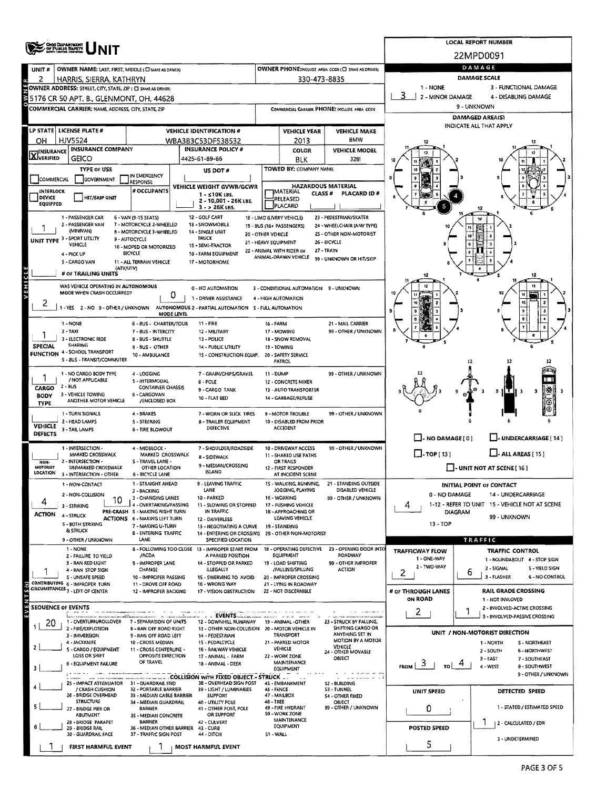|                                           | ONG DEPARTMENT                                                                                 |                       |                                                               | <b>LOCAL REPORT NUMBER</b>                       |                                                                              |                                            |                                                               |                                                      |                                                                       |                                 |                                                             |  |  |  |  |
|-------------------------------------------|------------------------------------------------------------------------------------------------|-----------------------|---------------------------------------------------------------|--------------------------------------------------|------------------------------------------------------------------------------|--------------------------------------------|---------------------------------------------------------------|------------------------------------------------------|-----------------------------------------------------------------------|---------------------------------|-------------------------------------------------------------|--|--|--|--|
|                                           |                                                                                                |                       |                                                               |                                                  |                                                                              | 22MPD0091                                  |                                                               |                                                      |                                                                       |                                 |                                                             |  |  |  |  |
| UNIT #                                    | OWNER NAME: LAST, FIRST, MIDDLE (CI SAME AS DRIVER)                                            |                       |                                                               | OWNER PHONE: HCLUDE AREA CODE (I SAME AS DRIVER) | DAMAGE                                                                       |                                            |                                                               |                                                      |                                                                       |                                 |                                                             |  |  |  |  |
| 2                                         | HARRIS, SIERRA, KATHRYN                                                                        |                       |                                                               |                                                  |                                                                              |                                            | 330-473-8835                                                  |                                                      | DAMAGE SCALE<br>3 - FUNCTIONAL DAMAGE                                 |                                 |                                                             |  |  |  |  |
|                                           | OWNER ADDRESS: STREET, CITY, STATE, ZIP ( C SAME AS ORIVER)                                    |                       |                                                               |                                                  |                                                                              |                                            |                                                               |                                                      | 1 - NONE<br>2 - MINOR DAMAGE<br>4 - DISABLING DAMAGE                  |                                 |                                                             |  |  |  |  |
|                                           | 5176 CR 50 APT. B., GLENMONT, OH, 44628<br>COMMERCIAL CARRIER: NAME, ADDRESS, CITY, STATE, ZIP |                       |                                                               |                                                  |                                                                              |                                            |                                                               | COMMERCIAL CARRIER PHONE: INCLUDE AREA CODE          | 9 - UNKNOWN                                                           |                                 |                                                             |  |  |  |  |
|                                           |                                                                                                |                       |                                                               |                                                  |                                                                              |                                            |                                                               |                                                      | DAMAGED AREA(S)                                                       |                                 |                                                             |  |  |  |  |
|                                           | LP STATE LICENSE PLATE #                                                                       |                       |                                                               |                                                  | <b>VEHICLE IDENTIFICATION #</b>                                              | <b>VEHICLE YEAR</b><br><b>VEHICLE MAKE</b> |                                                               |                                                      |                                                                       |                                 | <b>INDICATE ALL THAT APPLY</b>                              |  |  |  |  |
| <b>HJV5524</b><br>он<br>WBA3B3C53DF538532 |                                                                                                |                       |                                                               |                                                  |                                                                              |                                            | 2013                                                          | BMW                                                  |                                                                       |                                 |                                                             |  |  |  |  |
| <b>X</b> INSURANCE                        | <b>INSURANCE COMPANY</b>                                                                       |                       |                                                               |                                                  | <b>INSURANCE POLICY #</b>                                                    | COLOR<br><b>VEHICLE MODEL</b>              |                                                               |                                                      |                                                                       |                                 |                                                             |  |  |  |  |
|                                           | GEICO                                                                                          |                       |                                                               |                                                  | 4425-61-89-66                                                                |                                            | BLK<br>TOWED BY: COMPANY NAME                                 | 3281                                                 |                                                                       |                                 |                                                             |  |  |  |  |
| COMMERCIAL                                | <b>TYPE OF USE</b><br>GOVERNMENT                                                               |                       | IN EMERGENCY                                                  |                                                  | US DOT#                                                                      |                                            |                                                               |                                                      |                                                                       |                                 |                                                             |  |  |  |  |
| INTERLOCK                                 |                                                                                                |                       | <b>RESPONSE</b><br>VEHICLE WEIGHT GVWR/GCWR<br># OCCUPANTS    |                                                  |                                                                              |                                            | IMATERIAL                                                     | <b>HAZARDOUS MATERIAL</b>                            |                                                                       |                                 |                                                             |  |  |  |  |
| DEVICE<br><b>EQUIPPED</b>                 | <b>HIT/SKIP UNIT</b>                                                                           |                       | $1 - 510K$ LBS.<br>2 - 10,001 - 26K LBS.                      |                                                  |                                                                              |                                            | <b>CLASS #</b><br>RELEASED                                    | PLACARD ID#                                          |                                                                       |                                 |                                                             |  |  |  |  |
|                                           |                                                                                                |                       |                                                               |                                                  | $3 - 26K$ LBS.                                                               |                                            | PLACARD                                                       |                                                      |                                                                       |                                 |                                                             |  |  |  |  |
|                                           | 1 - PASSENGER CAR<br>2 - PASSENGER VAN                                                         |                       | 6 - VAN (9-15 SEATS)<br>7 - MOTORCYCLE 2-WHEELED              |                                                  | 12 - GOLF CART<br>13 - SNOWMOBILE                                            |                                            | 18 - LIMO (LIVERY VEHICLE)<br>19 - BUS (16+ PASSENGERS)       | 23 - PEDESTRIAN/SKATER<br>24 - WHEELCHAIR (ANY TYPE) |                                                                       |                                 | 12                                                          |  |  |  |  |
|                                           | (MINIVAN)<br>UNIT TYPE 3 - SPORT UTILITY                                                       |                       | B - MOTORCYCLE 3-WHEELED<br>9 - AUTOCYCLE                     |                                                  | 14 - SINGLE UNIT<br><b>TRUCK</b>                                             | 20 - OTHER VEHICLE                         |                                                               | 25 - OTHER NON-MOTORIST                              |                                                                       |                                 |                                                             |  |  |  |  |
|                                           | VEHICLE                                                                                        |                       | 10 - MOPED OR MOTORIZED                                       |                                                  | 15 - SEMI-TRACTOR                                                            | 21 - HEAVY EQUIPMENT                       | 22 - ANIMAL WITH RIDER OR                                     | 26 - BICYCLE<br>27 - TRAIN                           |                                                                       |                                 |                                                             |  |  |  |  |
|                                           | 4 - PICK UP<br>S - CARGO VAN                                                                   |                       | <b>BICYCLE</b><br>11 - ALL TERRAIN VEHICLE                    |                                                  | 16 - FARM EQUIPMENT<br>17 - MOTORHOME                                        |                                            | ANIMAL-DRAWN VEHICLE                                          | 99 - UNKNOWN OR HIT/SKIP                             |                                                                       |                                 |                                                             |  |  |  |  |
|                                           | # OF TRAILING UNITS                                                                            | (ATV/UTV)             |                                                               |                                                  |                                                                              |                                            |                                                               |                                                      |                                                                       |                                 | 12                                                          |  |  |  |  |
| EHICL                                     | WAS VEHICLE OPERATING IN AUTONOMOUS                                                            |                       |                                                               |                                                  |                                                                              |                                            |                                                               |                                                      |                                                                       |                                 |                                                             |  |  |  |  |
|                                           | MODE WHEN CRASH OCCURRED?                                                                      |                       |                                                               | 0                                                | 0 - NO AUTOMATION<br>1 - DRIVER ASSISTANCE                                   |                                            | 3 - CONDITIONAL AUTOMATION 9 - UNKNOWN<br>4 - HIGH AUTOMATION |                                                      |                                                                       |                                 |                                                             |  |  |  |  |
| 2                                         |                                                                                                |                       |                                                               |                                                  | 1-YES 2-NO 9-OTHER/UNKNOWN AUTONOMOUS 2-PARTIAL AUTOMATION 5-FULL AUTOMATION |                                            |                                                               |                                                      |                                                                       |                                 |                                                             |  |  |  |  |
|                                           |                                                                                                |                       |                                                               | MODE LEVEL                                       |                                                                              |                                            |                                                               |                                                      | ġ                                                                     |                                 |                                                             |  |  |  |  |
|                                           | 1 - NONE<br>$2 - TAXI$                                                                         |                       | 6 - 8US - CHARTER/TOUR<br>7 - BUS - INTERCITY                 |                                                  | 11 - FIRE<br>12 - MILITARY                                                   | 16 - FARM                                  | 17 - MOWING                                                   | 21 - MAIL CARRIER<br>99 - OTHER / UNKNOWN            |                                                                       |                                 |                                                             |  |  |  |  |
|                                           | 3 - ELECTRONIC RIDE<br>SHARING                                                                 |                       | 8 - BUS - SHUTTLE                                             |                                                  | 13 - POLICE                                                                  |                                            | 18 - SNOW REMOVAL                                             |                                                      |                                                                       |                                 |                                                             |  |  |  |  |
| <b>SPECIAL</b>                            | <b>FUNCTION 4 - SCHOOL TRANSPORT</b>                                                           |                       | 9 - BUS - OTHER<br>10 - AMBULANCE                             |                                                  | 14 - PUBLIC UTILITY<br>15 - CONSTRUCTION EQUIP.                              |                                            | 19 - TOWING<br>20 - SAFETY SERVICE                            |                                                      |                                                                       |                                 |                                                             |  |  |  |  |
|                                           | 5 - BUS - TRANSIT/COMMUTER                                                                     |                       |                                                               |                                                  |                                                                              |                                            | PATROL                                                        |                                                      |                                                                       | 12                              |                                                             |  |  |  |  |
|                                           | 1 - NO CARGO BODY TYPE<br>/ NOT APPLICABLE                                                     |                       | 4 - LOGGING<br>S - INTERMODAL                                 |                                                  | 7 - GRAIN/CHIPS/GRAVEL                                                       | 11 - DUMP                                  |                                                               | 99 - OTHER / UNKNOWN                                 |                                                                       |                                 |                                                             |  |  |  |  |
| CARGO                                     | 2 - BUS                                                                                        |                       | <b>CONTAINER CHASSIS</b>                                      |                                                  | <b>B-POLE</b><br>9 - CARGO TANK                                              |                                            | 12 - CONCRETE MIXER<br>13 - AUTO TRANSPORTER                  |                                                      |                                                                       |                                 | ŋ                                                           |  |  |  |  |
| <b>BODY</b><br><b>TYPE</b>                | 3 - VEHICLE TOWING<br>ANOTHER MOTOR VEHICLE                                                    |                       | 6 - CARGOVAN<br>/ENCLOSED BOX                                 |                                                  | 10 - FLAT BED                                                                |                                            | 14 - GARBAGE/REFUSE                                           |                                                      |                                                                       |                                 |                                                             |  |  |  |  |
|                                           | 1 - TURN SIGNALS                                                                               |                       | 4 - BRAKES                                                    |                                                  | 7 - WORN OR SLICK TIRES                                                      |                                            | 9 - MOTOR TROUBLE                                             | 99 - OTHER / UNKNOWN                                 |                                                                       |                                 |                                                             |  |  |  |  |
| <b>VEHICLE</b>                            | 2 - HEAD LAMPS<br>3 - TAIL LAMPS                                                               |                       | 5 - STEERING<br><b>6 - TIRE BLOWOUT</b>                       |                                                  | <b>8 - TRAILER EQUIPMENT</b><br>DEFECTIVE                                    |                                            | 10 - DISABLED FROM PRIOR<br><b>ACCIDENT</b>                   |                                                      |                                                                       |                                 |                                                             |  |  |  |  |
| DEFECTS                                   |                                                                                                |                       |                                                               |                                                  |                                                                              |                                            |                                                               |                                                      | $\Box$ - NO DAMAGE [ 0 ]<br>J-UNDERCARRIAGE [ 14 ]                    |                                 |                                                             |  |  |  |  |
|                                           | 1 - INTERSECTION -<br>MARKED CROSSWALK                                                         |                       | 4 - MIDBLOCK -<br>MARKED CROSSWALK                            |                                                  | 7 - SHOULDER/ROADSIDE                                                        |                                            | 10 - DRIVEWAY ACCESS<br>11 - SHARED USE PATHS                 | 99 - OTHER / UNKNOWN                                 | $\Box$ . TOP [ 13 ]                                                   |                                 | $\Box$ - ALL AREAS (15)                                     |  |  |  |  |
| NON-                                      | 2 - INTERSECTION -                                                                             |                       | S - TRAVEL LANE -                                             |                                                  | 8 - SIDEWALK<br>9 - MEDIAN/CROSSING                                          |                                            | OR TRAILS                                                     |                                                      |                                                                       |                                 |                                                             |  |  |  |  |
| MOTORIST<br>LOCATION                      | UNMARKED CROSSWALK<br>3 - INTERSECTION - OTHER                                                 |                       | OTHER LOCATION<br>6 - BICYCLE LANE                            |                                                  | <b>ISLAND</b>                                                                |                                            | 12 - FIRST RESPONDER<br>AT INCIDENT SCENE                     |                                                      | - UNIT NOT AT SCENE [ 16 ]                                            |                                 |                                                             |  |  |  |  |
|                                           | 1 - NON-CONTACT                                                                                |                       | 1 - STRAIGHT AHEAD<br>2 - BACKING                             |                                                  | - LEAVING TRAFFIC<br>LANE                                                    |                                            | 15 - WALKING, RUNNING,<br>JOGGING, PLAYING                    | - STANDING OUTSIDE<br>DISABLED VEHICLE               |                                                                       | <b>INITIAL POINT OF CONTACT</b> |                                                             |  |  |  |  |
| 4                                         | 2 - NON-COLLISION                                                                              | 10                    | 3 - CHANGING LANES                                            |                                                  | 10 - PARKED                                                                  |                                            | 16 - WORKING                                                  | 99 - OTHER / UNKNOWN                                 | 0 - NO DAMAGE                                                         |                                 | 14 - UNDERCARRIAGE                                          |  |  |  |  |
| ACTION                                    | 3 - STRIKING                                                                                   |                       | 4 - OVERTAKING/PASSING<br>PRE-CRASH 5 - MAKING RIGHT TURN     |                                                  | 11 - SLOWING OR STOPPED<br>IN TRAFFIC                                        |                                            | 17 - PUSHING VEHICLE<br>18 - APPROACHING OR                   |                                                      | 1-12 - REFER TO UNIT 15 - VEHICLE NOT AT SCENE<br>4<br><b>DIAGRAM</b> |                                 |                                                             |  |  |  |  |
|                                           | 4 - STRUCK<br>5 - BOTH STRIKING                                                                |                       | ACTIONS 6 - MAKING LEFT TURN<br>7 - MAKING U-TURN             |                                                  | 12 - DRIVERLESS<br>13 - NEGOTIATING A CURVE                                  |                                            | LEAVING VEHICLE<br>19 - STANDING                              |                                                      | 99 - UNKNOWN<br>13 - TOP                                              |                                 |                                                             |  |  |  |  |
|                                           | & STRUCK                                                                                       |                       | 8 - ENTERING TRAFFIC                                          |                                                  | 14 - ENTERING OR CROSSING 20 - OTHER NON-MOTORIST                            |                                            |                                                               |                                                      |                                                                       |                                 |                                                             |  |  |  |  |
|                                           | 9 - OTHER / UNKNOWN<br>1 - NONE                                                                |                       | LANE                                                          |                                                  | SPECIFIED LOCATION<br>8 - FOLLOWING TOO CLOSE 13 - IMPROPER START FROM       |                                            | 18 - OPERATING DEFECTIVE                                      | 23 - OPENING DOOR INTO                               |                                                                       |                                 | <b>TRAFFIC</b><br><b>TRAFFIC CONTROL</b>                    |  |  |  |  |
|                                           | 2 - FAILURE TO YIELD                                                                           |                       | /ACDA                                                         |                                                  | A PARKED POSITION                                                            |                                            | <b>EQUIPMENT</b>                                              | ROADWAY<br>99 - OTHER IMPROPER                       | <b>TRAFFICWAY FLOW</b><br>1 - ONE-WAY                                 |                                 | 1 - ROUNDABOUT 4 - STOP SIGN                                |  |  |  |  |
|                                           | 3 - RAN RED LIGHT<br>4 - RAN STOP SIGN                                                         |                       | 9 - IMPROPER LANE<br>CHANGE                                   |                                                  | 14 - STOPPED OR PARKED<br><b>ILLEGALLY</b>                                   |                                            | 19 - LOAD SHIFTING<br>/FALLING/SPILLING                       | <b>ACTION</b>                                        | 2 - TWO-WAY<br>2                                                      | ь                               | 2 - SIGNAL<br>S - YIELD SIGN                                |  |  |  |  |
|                                           | S - UNSAFE SPEED<br>CONTRIBUTING 6 - IMPROPER TURN                                             |                       | 10 - IMPROPER PASSING<br>11 - DROVE OFF ROAD                  |                                                  | 15 - SWERVING TO AVOID<br>16 - WRONG WAY                                     |                                            | 20 - IMPROPER CROSSING<br>21 - LYING IN ROADWAY               |                                                      |                                                                       |                                 | 3 - FLASHER<br><b>6 - NO CONTROL</b>                        |  |  |  |  |
|                                           | CIRCUMSTANCES 7 - LEFT OF CENTER                                                               |                       | 12 - IMPROPER BACKING                                         |                                                  | 17 - VISION OBSTRUCTION                                                      |                                            | 22 - NOT DISCERNIBLE                                          |                                                      | # OF THROUGH LANES                                                    |                                 | <b>RAIL GRADE CROSSING</b>                                  |  |  |  |  |
|                                           | <b>SEOUENCE OF EVENTS</b>                                                                      |                       |                                                               |                                                  |                                                                              |                                            |                                                               |                                                      | <b>ON ROAD</b>                                                        |                                 | 1 - NOT INVLOVED<br>2 - INVOLVED-ACTIVE CROSSING            |  |  |  |  |
|                                           | 1 - OVERTURN/ROLLOVER                                                                          |                       |                                                               |                                                  | . EVENTS.<br>12 - DOWNHILL RUNAWAY                                           |                                            |                                                               | 23 - STRUCK BY FALLING,                              | 2                                                                     |                                 | 3 - INVOLVED-PASSIVE CROSSING                               |  |  |  |  |
| 20                                        | 2 - FIRE/EXPLOSION                                                                             |                       | 7 - SEPARATION OF UNITS<br>8 - RAN OFF ROAD RIGHT             |                                                  | 13 - OTHER NON-COLLISION 20 - MOTOR VEHICLE IN                               |                                            | 19 - ANIMAL -OTHER                                            | SHIFTING CARGO OR                                    |                                                                       |                                 | UNIT / NON-MOTORIST DIRECTION                               |  |  |  |  |
|                                           | 3 - IMMERSION<br>4 - JACKKNIFE                                                                 |                       | 9 - RAN OFF ROAD LEFT<br>10 - CROSS MÉDIAN                    |                                                  | 14 - PEDESTRIAN<br>15 - PEDALCYCLE                                           |                                            | TRANSPORT<br>21 - PARKED MOTOR                                | ANYTHING SET IN<br><b>MOTION BY A MOTOR</b>          |                                                                       |                                 | 1 - NORTH<br>S - NORTHEAST                                  |  |  |  |  |
|                                           | S - CARGO / EQUIPMENT<br>LOSS OR SHIFT                                                         |                       | 11 - CROSS CENTERLINE -<br>OPPOSITE DIRECTION                 |                                                  | 16 - RAILWAY VEHICLE                                                         |                                            | VEHICLE                                                       | <b>VEHICLE</b><br>24 - OTHER MOVASLE                 |                                                                       |                                 | 2 - SOUTH<br>6 - NORTHWEST                                  |  |  |  |  |
| з                                         |                                                                                                | 6 - EQUIPMENT FAILURE |                                                               |                                                  | 17 - ANIMAL - FARM<br>OF TRAVEL<br>18 - ANIMAL - DEER                        |                                            |                                                               | 22 - WORK ZONE<br>OBJECT<br>MAINTENANCE<br>EQUIPMENT |                                                                       |                                 | 3 - EAST<br>7 - SOUTHEAST<br>4 - WEST<br><b>B-SOUTHWEST</b> |  |  |  |  |
|                                           |                                                                                                |                       |                                                               |                                                  | COLLISION WITH FIXED OBJECT .- STRUCK                                        |                                            |                                                               |                                                      | <b>FROM</b><br>TO                                                     |                                 | 9 - OTHER / UNKNOWN                                         |  |  |  |  |
|                                           | 25 - IMPACT ATTENUATOR<br>/ CRASH CUSHION                                                      |                       | 31 - GUARDRAIL END<br>32 - PORTABLE BARRIER                   |                                                  | 3B - OVERHEAD SIGN POST<br>39 - LIGHT / LUMINARIES                           | 46 - FENCE                                 | 45 - EMBANKMENT                                               | 52 - BLILDING<br>53 - TUNNEL                         | UNIT SPEED                                                            |                                 | <b>DETECTED SPEED</b>                                       |  |  |  |  |
|                                           | 26 - BRIDGE OVERHEAD<br><b>STRUCTURE</b>                                                       |                       | 33 - MEDIAN CABLE BARRIER<br>34 - MEDIAN GUARDRAIL            |                                                  | <b>SUPPORT</b><br>40 - UTILITY POLE                                          | 48 - TREE                                  | 47 - MAILBOX                                                  | 54 - OTHER FIXED<br>OBJECT                           |                                                                       |                                 |                                                             |  |  |  |  |
|                                           | 27 - BRIDGE PIER OR<br><b>ABUTMENT</b>                                                         |                       | <b>BARRIER</b><br>3S - MEDIAN CONCRETE                        |                                                  | 41 - OTHER POST, POLE<br>OR SUPPORT                                          |                                            | 49 FIRE HYDRANT<br><b>SO - WORK ZONE</b>                      | 99 - OTHER / UNKNOWN                                 | 0                                                                     |                                 | 1 - STATED / ESTIMATED SPEED                                |  |  |  |  |
|                                           | 2B - BRIDGE PARAPET                                                                            |                       | <b>BARRIER</b>                                                |                                                  | 42 - CULVERT                                                                 |                                            | <b>MAINTENANCE</b><br>EQUIPMENT                               |                                                      | <b>POSTED SPEED</b>                                                   |                                 | 2 - CALCULATED / EDR                                        |  |  |  |  |
|                                           | 29 - BRIDGE RAIL<br>30 - GUARDRAIL FACE                                                        |                       | 36 - MEDIAN OTHER BARRIER 43 - CUR8<br>37 - TRAFFIC SIGN POST |                                                  | 44 - DITCH                                                                   | 51 - WALL                                  |                                                               |                                                      |                                                                       |                                 | 3 - UNDETERMINED                                            |  |  |  |  |
|                                           | FIRST HARMFUL EVENT                                                                            |                       |                                                               |                                                  | MOST HARMFUL EVENT                                                           |                                            |                                                               |                                                      | 5                                                                     |                                 |                                                             |  |  |  |  |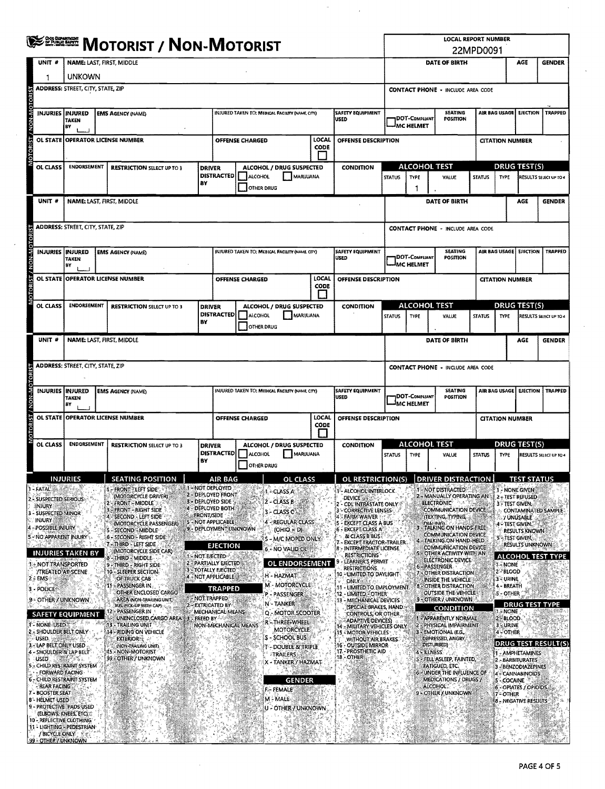|                        |                                                                     | <b>WEERER MOTORIST / NON-MOTORIST</b>                                                                                |                                                                          |                   |                                                                             |                                                     |                      |                                                                         |                                                                                                                                    |                                                                      | <b>LOCAL REPORT NUMBER</b><br>22MPD0091                                         |                                            |                                                              |                                                |                            |  |  |
|------------------------|---------------------------------------------------------------------|----------------------------------------------------------------------------------------------------------------------|--------------------------------------------------------------------------|-------------------|-----------------------------------------------------------------------------|-----------------------------------------------------|----------------------|-------------------------------------------------------------------------|------------------------------------------------------------------------------------------------------------------------------------|----------------------------------------------------------------------|---------------------------------------------------------------------------------|--------------------------------------------|--------------------------------------------------------------|------------------------------------------------|----------------------------|--|--|
|                        | UNIT #                                                              |                                                                                                                      | <b>NAME: LAST, FIRST, MIDDLE</b>                                         |                   |                                                                             |                                                     | DATE OF BIRTH        |                                                                         |                                                                                                                                    | AGE                                                                  | <b>GENDER</b>                                                                   |                                            |                                                              |                                                |                            |  |  |
|                        |                                                                     | <b>UNKOWN</b>                                                                                                        |                                                                          |                   |                                                                             |                                                     |                      |                                                                         |                                                                                                                                    |                                                                      |                                                                                 |                                            |                                                              |                                                |                            |  |  |
|                        |                                                                     | <b>ADDRESS: STREET, CITY, STATE, ZIP</b>                                                                             |                                                                          |                   |                                                                             |                                                     |                      |                                                                         |                                                                                                                                    |                                                                      | <b>CONTACT PHONE - INCLUDE AREA CODE</b>                                        |                                            |                                                              |                                                |                            |  |  |
| <b>NON-MOTORIST</b>    | INJURIES   INJURED                                                  | TAKEN<br>BY                                                                                                          | <b>EMS AGENCY (NAME)</b>                                                 |                   |                                                                             | INJURED TAKEN TO: MEDICAL FACILITY (NAME, CITY)     |                      | <b>SAFETY EQUIPMENT</b><br>USED                                         | <b>SEATING</b><br>DOT-COMPLIANT<br><b>POSITION</b><br>MC HELMET                                                                    |                                                                      |                                                                                 |                                            | AIR BAG USAGE<br><b>EJECTION</b>                             |                                                | <b>TRAPPED</b>             |  |  |
| OTORIST /              |                                                                     |                                                                                                                      | OL STATE OPERATOR LICENSE NUMBER                                         |                   |                                                                             | OFFENSE CHARGED                                     | LOCAL<br>CODE        | OFFENSE DESCRIPTION                                                     |                                                                                                                                    |                                                                      |                                                                                 |                                            | <b>CITATION NUMBER</b>                                       |                                                |                            |  |  |
|                        |                                                                     |                                                                                                                      |                                                                          |                   |                                                                             |                                                     |                      |                                                                         |                                                                                                                                    |                                                                      |                                                                                 |                                            |                                                              |                                                |                            |  |  |
|                        | OL CLASS                                                            | <b>ENDORSEMENT</b><br><b>RESTRICTION SELECT UP TO 3</b><br><b>DRIVER</b><br>BY                                       |                                                                          |                   | ALCOHOL / DRUG SUSPECTED<br><b>DISTRACTED</b><br>ALCOHOL<br>MARIJUANA       |                                                     |                      | <b>CONDITION</b>                                                        | <b>STATUS</b>                                                                                                                      | <b>ALCOHOL TEST</b><br><b>TYPE</b>                                   | VALUE                                                                           | <b>STATUS</b>                              | <b>TYPE</b>                                                  | <b>DRUG TEST(S)</b>                            | RESULTS SELECT UP TO 4     |  |  |
|                        | <b>UNIT #</b>                                                       |                                                                                                                      | NAME: LAST, FIRST, MIDDLE                                                |                   | <b>OTHER DRUG</b>                                                           |                                                     |                      |                                                                         |                                                                                                                                    | 1                                                                    | DATE OF BIRTH                                                                   |                                            |                                                              | <b>AGE</b>                                     | <b>GENDER</b>              |  |  |
|                        |                                                                     | <b>ADDRESS:</b> STREET, CITY, STATE, ZIP                                                                             |                                                                          |                   |                                                                             |                                                     |                      |                                                                         |                                                                                                                                    |                                                                      |                                                                                 |                                            |                                                              |                                                |                            |  |  |
|                        |                                                                     |                                                                                                                      |                                                                          |                   |                                                                             |                                                     |                      |                                                                         |                                                                                                                                    |                                                                      | <b>CONTACT PHONE - INCLUDE AREA CODE</b><br><b>SEATING</b>                      |                                            |                                                              |                                                |                            |  |  |
| OTORIST / NON-MOTORIST | INJURIES   INJURED                                                  | <b>TAKEN</b><br>BY                                                                                                   | <b>EMS AGENCY (NAME)</b>                                                 |                   | INJURED TAKEN TO; MEDICAL FACILITY (NAME, CITY)<br>SAFETY EQUIPMENT<br>USED |                                                     |                      |                                                                         |                                                                                                                                    | DOT-Compliant<br>IMC HELMET                                          |                                                                                 | AIR BAG USAGE   EJECTION<br><b>TRAPPED</b> |                                                              |                                                |                            |  |  |
|                        |                                                                     |                                                                                                                      | OL STATE OPERATOR LICENSE NUMBER                                         |                   |                                                                             | OFFENSE CHARGED                                     | <b>LOCAL</b><br>CODE | OFFENSE DESCRIPTION                                                     |                                                                                                                                    |                                                                      | <b>CITATION NUMBER</b>                                                          |                                            |                                                              |                                                |                            |  |  |
|                        | OL CLASS                                                            | <b>ENDORSEMENT</b>                                                                                                   | <b>RESTRICTION SELECT UP TO 3</b>                                        | <b>DRIVER</b>     |                                                                             | ALCOHOL / DRUG SUSPECTED                            |                      | <b>CONDITION</b>                                                        |                                                                                                                                    | ALCOHOL TEST                                                         |                                                                                 |                                            |                                                              | <b>DRUG TEST(S)</b>                            |                            |  |  |
|                        |                                                                     |                                                                                                                      |                                                                          | BY                | <b>DISTRACTED</b><br>ALCOHOL<br><b>IMARIJUANA</b><br><b>OTHER DRUG</b>      |                                                     |                      |                                                                         | <b>STATUS</b>                                                                                                                      | <b>TYPE</b>                                                          | VALUE                                                                           | <b>STATUS</b>                              | <b>TYPE</b>                                                  |                                                | RESULTS SELECT UP TO 4     |  |  |
|                        | UNIT <sup>#</sup>                                                   |                                                                                                                      | NAME: LAST, FIRST, MIDDLE                                                |                   |                                                                             |                                                     |                      |                                                                         |                                                                                                                                    |                                                                      | DATE OF BIRTH                                                                   |                                            |                                                              | AGE                                            | <b>GENDER</b>              |  |  |
|                        |                                                                     | <b>ADDRESS: STREET, CITY, STATE, ZIP</b>                                                                             |                                                                          |                   |                                                                             |                                                     |                      |                                                                         | <b>CONTACT PHONE - INCLUDE AREA CODE</b>                                                                                           |                                                                      |                                                                                 |                                            |                                                              |                                                |                            |  |  |
| <b>OTORIST</b>         | INJURIES INJURED                                                    |                                                                                                                      | <b>EMS AGENCY (NAME)</b>                                                 |                   |                                                                             | INJURED TAKEN TO: MEDICAL FACILITY (NAME, CITY)     |                      | <b>SAFETY EQUIPMENT</b>                                                 |                                                                                                                                    | <b>SEATING</b><br>AIR BAG USAGE<br><b>EJECTION</b><br><b>TRAPPED</b> |                                                                                 |                                            |                                                              |                                                |                            |  |  |
|                        |                                                                     | <b>TAKEN</b><br>B٧                                                                                                   |                                                                          |                   |                                                                             |                                                     |                      | <b>USED</b>                                                             |                                                                                                                                    | <b>DOT-COMPLIANT</b><br><b>MC HELMET</b>                             | POSITION                                                                        |                                            |                                                              |                                                |                            |  |  |
| OTORIST / NON-M        |                                                                     |                                                                                                                      | OL STATE OPERATOR LICENSE NUMBER                                         |                   | LOCAL<br>OFFENSE CHARGED<br>OFFENSE DESCRIPTION<br>CODE                     |                                                     |                      | <b>CITATION NUMBER</b>                                                  |                                                                                                                                    |                                                                      |                                                                                 |                                            |                                                              |                                                |                            |  |  |
|                        | OL CLASS                                                            | <b>ENDORSEMENT</b>                                                                                                   | <b>RESTRICTION SELECT UP TO 3</b>                                        | <b>DRIVER</b>     | ALCOHOL / DRUG SUSPECTED<br><b>DISTRACTED</b><br>ALCOHOL<br>MARUUANA        |                                                     |                      | <b>CONDITION</b>                                                        | <b>ALCOHOL TEST</b><br><b>STATUS</b><br>TYPE<br>VALUE                                                                              |                                                                      |                                                                                 | <b>STATUS</b>                              | <b>DRUG TEST(S)</b><br><b>TYPE</b><br>RESULTS SELECT UP TO 4 |                                                |                            |  |  |
|                        |                                                                     |                                                                                                                      |                                                                          | В۲                |                                                                             | <b>OTHER DRUG</b>                                   |                      |                                                                         |                                                                                                                                    |                                                                      |                                                                                 |                                            |                                                              |                                                |                            |  |  |
|                        | - FATAL                                                             | INJURIES                                                                                                             | <b>SEATING POSITION</b><br><b>FRONT "LEFT SIDE"</b>                      |                   | AIR BAG<br>1 - NOT DEPLOYED<br>2 - DEPLOYED FRONT                           | OL<br>1 - CLASS A                                   | CLASS                | <b>OL RESTRICTION(S)</b><br>1- ALCOHOL INTERLOCK                        |                                                                                                                                    |                                                                      | DRIVER DISTRA<br>I - NOT DISTRACTED                                             |                                            | 1 - NONE GIVEN                                               | <u>IEST STATUS</u>                             |                            |  |  |
|                        | 2 - SUSPECTED SERIOUS:<br>INJURY                                    |                                                                                                                      | (MOTORCYCLE DRIVER)<br><b>FRONT-MIDDLE</b><br><b>FRONT - RIGHT SIDE</b>  |                   | 3 - DEPLOYED SIDE<br>4 - DEPLOYED BOTH                                      | 2 - CLASS B<br>3 - CLASS C                          |                      | <b>DEVICE</b><br>- CDL'INTRASTATE ONLY<br>3"-"CORRECTIVE LENSES         |                                                                                                                                    |                                                                      | 2 - MANUALLY OPERATING AN<br><b>ELECTRONIC</b><br>COMMUNICATION DEVICE          |                                            | 3 - TEST GIVEN,                                              | 2 - TEST REFUSED                               | <b>CONTAMINATED SAMPLE</b> |  |  |
|                        | <b>SUSPECTED MINOR</b><br><b>INJURY</b><br>4 - POSSIBLE INJURY      |                                                                                                                      | <b>SECOND - LEFT SIDE</b><br>(MOTORCYCLE PASSENGER)<br>- SECOND - MIDDLE | <b>ERONT/SIDE</b> | 5 - NOT APPLICABLE<br>9 - DEPLOYMENT UNKNOWN                                | 4 - REGULAR CLASS<br>$(OHIO = D)$                   |                      | - FARM WAIVER<br><b>EXCEPT CLASS A BUS</b><br>6 - EXCEPT CLASS A        |                                                                                                                                    |                                                                      | (TEXTING, TYPING,<br><b>CUAHIAICI</b><br>3 - TALKING ON HANDS-FREE              |                                            | A - TEST GIVEN.                                              | <b>/ UNUSABLE</b>                              |                            |  |  |
|                        | 5 - NO APPARENT INJURY                                              |                                                                                                                      | 6 - SECOND - RIGHT SIDE<br>7 - THIRD - LEFT SIDE                         |                   | <b>EJECTION</b>                                                             | 'S - M/C MOPED ONLY.                                |                      | & CLASS B BUS<br>7 - EXCEPT TRACTOR-TRAILER                             |                                                                                                                                    |                                                                      | COMMUNICATION DEVICE<br>4 - TALKING ON HAND-HELD<br><b>COMMUNICATION DEVICE</b> |                                            | <b>5 - TEST GIVEN.</b>                                       | <b>RESULTS KNOWN</b><br><b>RESULTS UNKNOWN</b> |                            |  |  |
|                        |                                                                     | <b>INJURIES TAKEN BY</b>                                                                                             | (MOTORCYCLE SIDE CAR)<br>THIRD - MIDDLE                                  | 1 - NOT EJECTED   | <b>2 - PARTIALLY EJECTED</b>                                                | 6 - NO VALID OL<br><b>OL ENDORSEMENT</b>            |                      | 8 - INTERMEDIATE LICENSE<br><b>RESTRICTIONS*</b><br>LEARNER'S PERMIT    |                                                                                                                                    |                                                                      | 5 - OTHER ACTIVITY WITH AN<br>ELECTRONIC DEVICE                                 |                                            |                                                              |                                                | ALCOHOL TEST TYPE          |  |  |
|                        | <b>ENOT TRANSPORTED</b><br><b>/TREATED AT SCENE</b><br>2. EMS       |                                                                                                                      | 9 - THIRD - RIGHT SIDE<br>10 - SLEEPER SECTION.<br>OF TRUCK CAB          |                   | <b>3 - TOTALLY EJECTED</b><br>4 - NOT APPLICABLE                            | H - HAZMAT                                          |                      | <b>RESTRICTIONS</b><br>10 - UMITED TO DAYLIGHT.<br>only                 |                                                                                                                                    |                                                                      | 6 - PASSENGER<br>- OTHER DISTRACTION<br>INSIDE THE VEHICLE                      |                                            | 1 - NONE<br>2-BLOOD<br>3 - URINE                             |                                                |                            |  |  |
|                        | 3 - POLICE                                                          |                                                                                                                      | PASSENGER IN<br>OTHER ENCLOSED CARGO                                     | 1 - NOT TRAPPED   | <b>TRAPPED</b>                                                              | M - MOTORCYCLE<br>P - PASSENGER                     |                      | 11 - LIMITED TO EMPLOYMENT<br>12 - LIMITED FOTHER                       |                                                                                                                                    |                                                                      | <b>OTHER DISTRACTION</b><br><b>OUTSIDE THE VEHICLE</b>                          |                                            | 4 - BREATH<br>5 - OTHER                                      |                                                |                            |  |  |
|                        | 9 - OTHER / UNKNOWN                                                 | <b>SAFETY EQUIPMENT</b>                                                                                              | AREA (NON-TRAILING UNIT)<br>BUS, PICK-UP WITH CAP)<br>2 - PASSENGER IN   |                   | 2 - EXTRICATED BY<br>MECHANICAL MEANS                                       | N - TANKER<br>Q MOTOR SCOOTER                       |                      | 13 - MECHANICAL DEVICES<br>(SPECIAL BRAKES, HAND.<br>CONTROLS, OR OTHER |                                                                                                                                    |                                                                      | 9 - OTHER / UNKNOWN<br><b>CONDITION</b>                                         |                                            | 1. NONE                                                      |                                                | <b>DRUG TEST TYPE</b>      |  |  |
|                        | <b>1- NONE USED</b>                                                 |                                                                                                                      | UNENCLOSED CARGO AREA #3<br><b>13 - TRAILING UNIT</b>                    | <b>FREED BY:</b>  |                                                                             | R-THREE-WHEEL<br>NON-MECHANICAL MEANS<br>MOTORCYCLE |                      | ADAPTIVE DEVICES)<br>14 - MILITARY VEHICLES ONLY                        |                                                                                                                                    |                                                                      | 1 - APPARENTLY NORMAL<br>2 EPHYSICAL IMPAIRMENT                                 |                                            | 2-BLOOD.<br>3%URINE                                          |                                                |                            |  |  |
|                        | USED.                                                               | 2 - SHOULDER BELT ONLY<br>14 - RIDING ON VEHICLE<br><b>EXTERIOR: #</b><br>LAP BELT ONLY USED<br>(NON-TRAILING UNIT). |                                                                          |                   |                                                                             | S - SCHOOL BUS<br>- DOUBLE & TRIPLE                 |                      |                                                                         | EMOTIONAL (EG<br><b>15 - MOTOR VEHICLES -</b><br>DEPRESSED, ANGRY,<br>WITHOUT AIR BRAKES<br><b>DISTURBED)</b><br>16 OUTSIDE MIRROR |                                                                      |                                                                                 | 4-OTHER<br>DRUG TEST RESULT(S)             |                                                              |                                                |                            |  |  |
|                        | SHOULDER & LAP BELT<br>USED.                                        | CHILD RESTRAINT SYSTEM                                                                                               | 15 - NON-MOTORIST<br>99 OTHER / UNKNOWN                                  |                   |                                                                             | <b>TRAILERS</b><br>X - TANKER / HAZMAT              |                      | 17 PROSTHETIC AID<br>18 - OTHER                                         |                                                                                                                                    | 4 - ILLNESS                                                          | S + FELL ASLEEP, FAINTED,<br><b>FATIGUED, ETC.</b>                              |                                            |                                                              | 1 - AMPHETAMINES<br>2 - BARBITURATES           |                            |  |  |
| 6                      | FORWARD FACING                                                      | CHILD RESTRAINT SYSTEM                                                                                               |                                                                          |                   |                                                                             |                                                     | GENDER               |                                                                         |                                                                                                                                    |                                                                      | 6 - UNDER THE INFLUENCE OF<br>MEDICATIONS / DRUGS /                             |                                            | <b>5 COCAINE</b>                                             | 3 - BENZODIAZEPINES<br>4 - CANNABINOIDS        |                            |  |  |
|                        | <b>REAR FACING</b><br><b>BOOSTER SEAT</b><br><b>8 - HELMET USED</b> |                                                                                                                      |                                                                          |                   |                                                                             | F .- FEMALE<br>M - MALE                             |                      |                                                                         |                                                                                                                                    |                                                                      | ALCOHOL:<br>9 - OTHER / UNKNOWN                                                 |                                            | 7 - OTHER                                                    | 6 - OPIATES / OPIOIDS                          |                            |  |  |
|                        |                                                                     | 9 - PROTECTIVE PADS USED<br>(ELBOWS, KNEES, ETC)                                                                     |                                                                          |                   |                                                                             | U - OTHER / UNKNOWN                                 |                      |                                                                         |                                                                                                                                    |                                                                      |                                                                                 |                                            |                                                              | 8 - NEGATIVE RESULTS                           |                            |  |  |
|                        | 10 - REFLECTIVE CLOTHING                                            | '11 - LIGHTING - PEDESTRIAN                                                                                          |                                                                          |                   |                                                                             |                                                     |                      |                                                                         |                                                                                                                                    |                                                                      |                                                                                 |                                            |                                                              |                                                |                            |  |  |
|                        | / BICYCLE ONLY : Sat<br>99 - OTHER / UNKNOWN                        |                                                                                                                      |                                                                          |                   |                                                                             |                                                     |                      |                                                                         |                                                                                                                                    |                                                                      |                                                                                 |                                            |                                                              |                                                |                            |  |  |

 $\sim$ 

 $\mathcal{L}$ 

 $\omega_{\rm c}$ 

 $\mathcal{L}_{\mathcal{A}}$